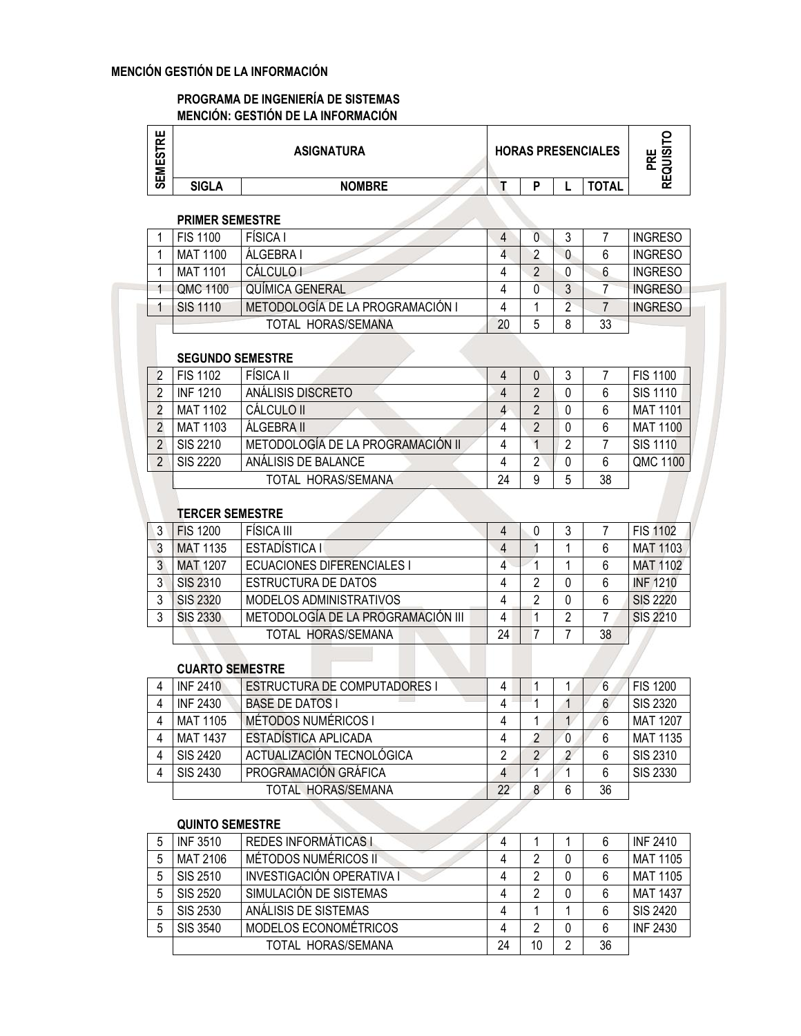### MENCIÓN GESTIÓN DE LA INFORMACIÓN

#### PROGRAMA DE INGENIERÍA DE SISTEMAS MENCIÓN: GESTIÓN DE LA INFORMACIÓN

| !<br>EMES <sup>-</sup> |              | <b>ASIGNATURA</b> |   | <b>HORAS PRESENCIALES</b> | ိ ဟ<br>ш<br>ᅙ<br>ш |
|------------------------|--------------|-------------------|---|---------------------------|--------------------|
| ഄ                      | <b>SIGLA</b> | <b>NOMBRE</b>     | n | <b>TOTAL</b>              | r                  |

#### PRIMER SEMESTRE

| <b>FIS 1100</b> | <b>FÍSICA</b> I                  | 4  |   | υ |    | <b>INGRESO</b> |
|-----------------|----------------------------------|----|---|---|----|----------------|
| <b>MAT 1100</b> | ALGEBRA I                        |    | ∩ | 0 |    | <b>INGRESO</b> |
| MAT 1101        | <b>CÁLCULO I</b>                 |    |   |   | 6  | <b>INGRESO</b> |
| <b>OMC 1100</b> | <b>QUIMICA GENERAL</b>           | 4  | 0 | J |    | <b>INGRESO</b> |
| SIS 1110        | METODOLOGÍA DE LA PROGRAMACIÓN I | 4  |   | ີ |    | <b>INGRESO</b> |
|                 | TOTAL HORAS/SEMANA               | 20 | 5 | 8 | 33 |                |

### SEGUNDO SEMESTRE

| <b>FIS 1102</b> | FÍSICA II                         |    |   |          |    | <b>FIS 1100</b> |
|-----------------|-----------------------------------|----|---|----------|----|-----------------|
| <b>INF 1210</b> | ANÁLISIS DISCRETO                 |    |   |          |    | <b>SIS 1110</b> |
| <b>MAT 1102</b> | CÁLCULO II                        |    |   |          |    | <b>MAT 1101</b> |
| <b>MAT 1103</b> | ÁI GEBRA II                       |    |   | $\Omega$ |    | <b>MAT 1100</b> |
| SIS 2210        | METODOLOGÍA DE LA PROGRAMACIÓN II |    |   | າ        |    | <b>SIS 1110</b> |
| SIS 2220        | ANÁLISIS DE BALANCE               |    |   |          |    | QMC 1100        |
|                 | TOTAL HORAS/SEMANA                | 24 | 9 | 5        | 38 |                 |

### TERCER SEMESTRE

| 3 | <b>FIS 1200</b> | FÍSICA III                         |    | 3 |    | <b>FIS 1102</b> |
|---|-----------------|------------------------------------|----|---|----|-----------------|
| 3 | <b>MAT 1135</b> | ESTADÍSTICA I                      | 4  |   |    | <b>MAT 1103</b> |
| 3 | <b>MAT 1207</b> | <b>ECUACIONES DIFERENCIALES I</b>  | 4  |   |    | <b>MAT 1102</b> |
| 3 | <b>SIS 2310</b> | <b>ESTRUCTURA DE DATOS</b>         |    |   |    | <b>INF 1210</b> |
| 3 | <b>SIS 2320</b> | MODELOS ADMINISTRATIVOS            |    |   | 6  | SIS 2220        |
| 3 | <b>SIS 2330</b> | METODOLOGÍA DE LA PROGRAMACIÓN III |    | 2 |    | SIS 2210        |
|   |                 | TOTAL HORAS/SEMANA                 | 24 |   | 38 |                 |

#### CUARTO SEMESTRE

| 4 | <b>INF 2410</b> | <b>ESTRUCTURA DE COMPUTADORES I</b> | 4  |   |    | <b>FIS 1200</b> |
|---|-----------------|-------------------------------------|----|---|----|-----------------|
| 4 | <b>INF 2430</b> | <b>BASE DE DATOS I</b>              |    |   |    | <b>SIS 2320</b> |
| 4 | <b>MAT 1105</b> | <b>MÉTODOS NUMÉRICOS I</b>          |    |   |    | <b>MAT 1207</b> |
| 4 | <b>MAT 1437</b> | ESTADÍSTICA APLICADA                |    |   |    | <b>MAT 1135</b> |
| 4 | SIS 2420        | ACTUALIZACIÓN TECNOLÓGICA           |    |   |    | SIS 2310        |
| 4 | SIS 2430        | PROGRAMACIÓN GRÁFICA                |    |   |    | <b>SIS 2330</b> |
|   |                 | TOTAL HORAS/SEMANA                  | 22 | 6 | 36 |                 |

### QUINTO SEMESTRE

| 5 | <b>INF 3510</b> | <b>REDES INFORMÁTICAS I</b> |    |    |   |    | <b>INF 2410</b> |
|---|-----------------|-----------------------------|----|----|---|----|-----------------|
| 5 | MAT 2106        | MÉTODOS NUMÉRICOS II        |    |    |   |    | <b>MAT 1105</b> |
| 5 | SIS 2510        | INVESTIGACIÓN OPERATIVA I   |    |    |   |    | <b>MAT 1105</b> |
| 5 | <b>SIS 2520</b> | SIMULACIÓN DE SISTEMAS      |    |    | 0 |    | <b>MAT 1437</b> |
| 5 | <b>SIS 2530</b> | ANÁLISIS DE SISTEMAS        |    |    |   | 6  | <b>SIS 2420</b> |
| 5 | SIS 3540        | MODELOS ECONOMÉTRICOS       |    |    | 0 | 6  | <b>INF 2430</b> |
|   |                 | TOTAL HORAS/SEMANA          | 24 | 10 | 2 | 36 |                 |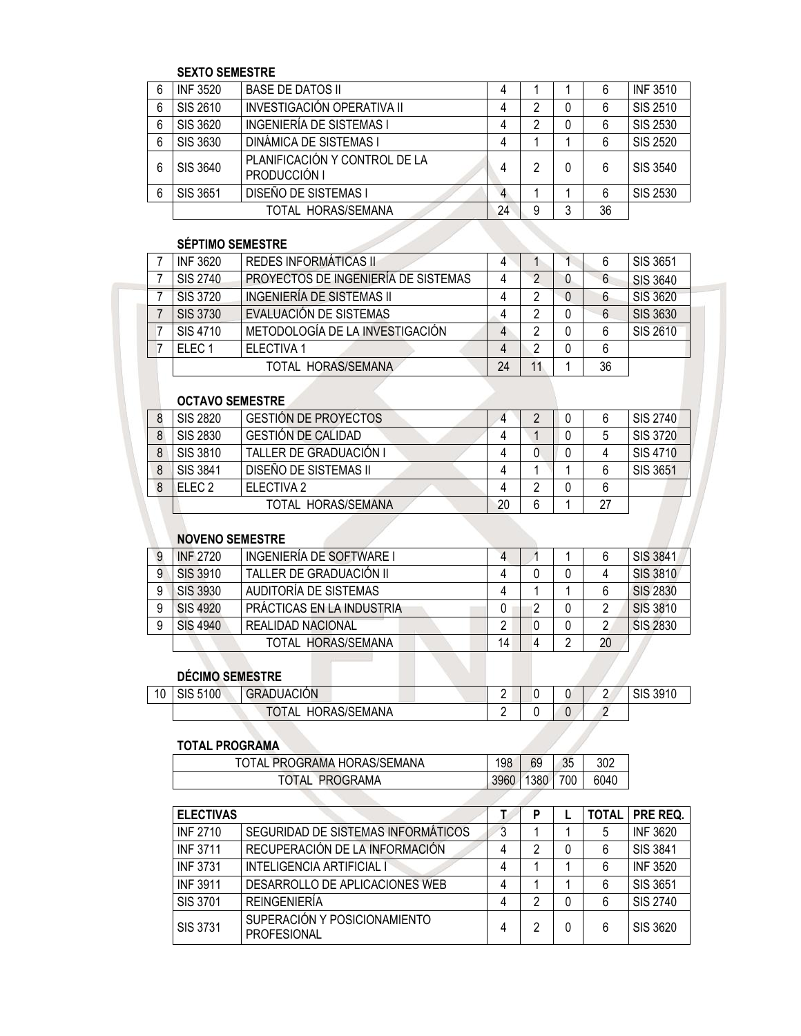### SEXTO SEMESTRE

| 6 | <b>INF 3520</b> | <b>BASE DE DATOS II</b>                       |    |   |          |    | <b>INF 3510</b> |
|---|-----------------|-----------------------------------------------|----|---|----------|----|-----------------|
| 6 | SIS 2610        | INVESTIGACIÓN OPERATIVA II                    |    | 2 | 0        | 6  | SIS 2510        |
| 6 | SIS 3620        | INGENIERÍA DE SISTEMAS I                      |    |   | 0        |    | SIS 2530        |
| 6 | SIS 3630        | <b>DINÁMICA DE SISTEMAS I</b>                 |    |   |          |    | <b>SIS 2520</b> |
| 6 | SIS 3640        | PLANIFICACIÓN Y CONTROL DE LA<br>PRODUCCIÓN I |    | っ | $\Omega$ | 6  | SIS 3540        |
| 6 | SIS 3651        | DISEÑO DE SISTEMAS I                          | 4  |   |          | 6  | <b>SIS 2530</b> |
|   |                 | TOTAL HORAS/SEMANA                            | 24 | 9 | 3        | 36 |                 |

## SÉPTIMO SEMESTRE

| <b>INF 3620</b>   | REDES INFORMÁTICAS II               |    |    | b  | SIS 3651        |
|-------------------|-------------------------------------|----|----|----|-----------------|
| SIS 2740          | PROYECTOS DE INGENIERÍA DE SISTEMAS |    |    | 6  | SIS 3640        |
| SIS 3720          | INGENIERÍA DE SISTEMAS II           |    |    | 6  | <b>SIS 3620</b> |
| <b>SIS 3730</b>   | EVALUACIÓN DE SISTEMAS              |    |    | 6  | <b>SIS 3630</b> |
| SIS 4710          | METODOLOGÍA DE LA INVESTIGACIÓN     |    | n  | 6  | <b>SIS 2610</b> |
| FLFC <sub>1</sub> | <b>ELECTIVA 1</b>                   |    | n  | 6  |                 |
|                   | TOTAL HORAS/SEMANA                  | 24 | 11 | 36 |                 |

### OCTAVO SEMESTRE

| <b>OUIRVO ULIVILUIINE</b> |                             |    |   |    |                 |
|---------------------------|-----------------------------|----|---|----|-----------------|
| SIS 2820                  | <b>GESTION DE PROYECTOS</b> |    |   |    | SIS 2740        |
| SIS 2830                  | <b>GESTIÓN DE CALIDAD</b>   |    |   |    | <b>SIS 3720</b> |
| SIS 3810                  | TALLER DE GRADUACIÓN I      |    |   |    | SIS 4710        |
| SIS 3841                  | DISEÑO DE SISTEMAS II       |    |   |    | <b>SIS 3651</b> |
| $F$ LEC 2                 | ELECTIVA 2                  |    |   |    |                 |
|                           | TOTAL HORAS/SEMANA          | 20 | 6 | 27 |                 |

#### NOVENO SEMESTRE

| 9 | <b>INF 2720</b> | INGENIERÍA DE SOFTWARE I  |    |   |   |    | <b>SIS 3841</b> |
|---|-----------------|---------------------------|----|---|---|----|-----------------|
| 9 | <b>SIS 3910</b> | TALLER DE GRADUACIÓN II   |    |   |   |    | <b>SIS 3810</b> |
| 9 | <b>SIS 3930</b> | AUDITORÍA DE SISTEMAS     |    |   |   |    | <b>SIS 2830</b> |
| 9 | <b>SIS 4920</b> | PRÁCTICAS EN LA INDUSTRIA |    | 2 |   |    | <b>SIS 3810</b> |
| 9 | <b>SIS 4940</b> | <b>REALIDAD NACIONAL</b>  |    | 0 |   |    | <b>SIS 2830</b> |
|   |                 | TOTAL HORAS/SEMANA        | 14 | 4 | 2 | 20 |                 |
|   |                 |                           |    |   |   |    |                 |
|   | DÉCIMO SEMESTRE |                           |    |   |   |    |                 |

# DÉCIMO SEMESTRE

|    | <b>DÉCIMO SEMESTRE</b> |                    |  |  |          |
|----|------------------------|--------------------|--|--|----------|
| 10 | SIS 5100               | <b>GRADUACIÓN</b>  |  |  | SIS 3910 |
|    |                        | TOTAL HORAS/SEMANA |  |  |          |

# TOTAL PROGRAMA

| TOTAL PROGRAMA              | 3960 | 1380 | 700 | 6040 |
|-----------------------------|------|------|-----|------|
| TOTAL PROGRAMA HORAS/SEMANA | 198  | 69   | 35  | 302  |
|                             |      |      |     |      |

| <b>ELECTIVAS</b> |                                                    |   | P |   | <b>TOTAL   PRE REQ.</b> |
|------------------|----------------------------------------------------|---|---|---|-------------------------|
| <b>INF 2710</b>  | SEGURIDAD DE SISTEMAS INFORMÁTICOS                 | 3 |   | 5 | <b>INF 3620</b>         |
| <b>INF 3711</b>  | RECUPERACIÓN DE LA INFORMACIÓN                     | 4 | 2 | 6 | <b>SIS 3841</b>         |
| <b>INF 3731</b>  | INTELIGENCIA ARTIFICIAL I                          | 4 |   | 6 | <b>INF 3520</b>         |
| <b>INF 3911</b>  | DESARROLLO DE APLICACIONES WEB                     | 4 |   | 6 | SIS 3651                |
| SIS 3701         | <b>REINGENIERÍA</b>                                | 4 | 2 | 6 | SIS 2740                |
| SIS 3731         | SUPERACIÓN Y POSICIONAMIENTO<br><b>PROFESIONAL</b> | 4 | 2 | 6 | SIS 3620                |